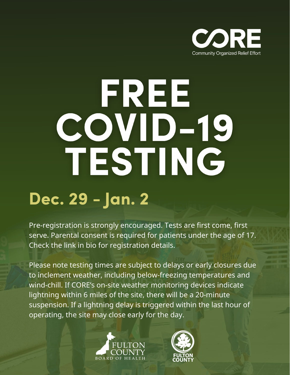

# FREE COVID-19 TESTING

#### **Dec. 29 - Jan. 2**

Pre-registration is strongly encouraged. Tests are first come, first serve. Parental consent is required for patients under the age of 17. Check the link in bio for registration details.

Please note testing times are subject to delays or early closures due to inclement weather, including below-freezing temperatures and wind-chill. If CORE's on-site weather monitoring devices indicate lightning within 6 miles of the site, there will be a 20-minute suspension. If a lightning delay is triggered within the last hour of operating, the site may close early for the day.



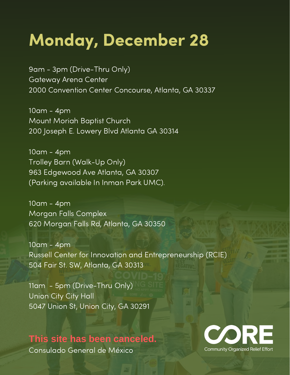#### **Monday, December 28**

9am - 3pm (Drive-Thru Only) Gateway Arena Center 2000 Convention Center Concourse, Atlanta, GA 30337

10am - 4pm Mount Moriah Baptist Church 200 Joseph E. Lowery Blvd Atlanta GA 30314

10am - 4pm Trolley Barn (Walk-Up Only) 963 Edgewood Ave Atlanta, GA 30307 (Parking available In Inman Park UMC).

10am - 4pm Morgan Falls Complex 620 Morgan Falls Rd, Atlanta, GA 30350

10am - 4pm Russell Center for Innovation and Entrepreneurship (RCIE) 504 Fair St. SW, Atlanta, GA 30313

11am - 5pm (Drive-Thru Only) Union City City Hall 5047 Union St, Union City, GA 30291

#### **This site has been canceled.**

Consulado General de México

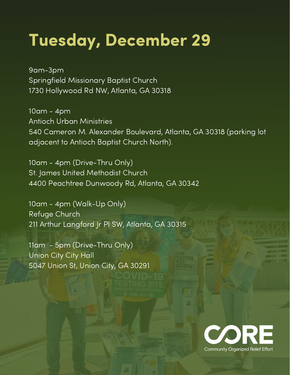### **Tuesday, December 29**

9am-3pm Springfield Missionary Baptist Church 1730 Hollywood Rd NW, Atlanta, GA 30318

10am - 4pm Antioch Urban Ministries 540 Cameron M. Alexander Boulevard, Atlanta, GA 30318 (parking lot adjacent to Antioch Baptist Church North).

10am - 4pm (Drive-Thru Only) St. James United Methodist Church 4400 Peachtree Dunwoody Rd, Atlanta, GA 30342

10am - 4pm (Walk-Up Only) Refuge Church 211 Arthur Langford Jr Pl SW, Atlanta, GA 30315

11am - 5pm (Drive-Thru Only) Union City City Hall 5047 Union St, Union City, GA 30291

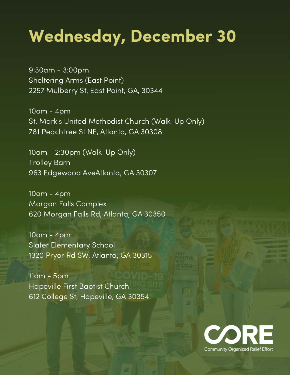### **Wednesday, December 30**

9:30am - 3:00pm Sheltering Arms (East Point) 2257 Mulberry St, East Point, GA, 30344

10am - 4pm St. Mark's United Methodist Church (Walk-Up Only) 781 Peachtree St NE, Atlanta, GA 30308

10am - 2:30pm (Walk-Up Only) Trolley Barn 963 Edgewood AveAtlanta, GA 30307

10am - 4pm Morgan Falls Complex 620 Morgan Falls Rd, Atlanta, GA 30350

10am - 4pm Slater Elementary School 1320 Pryor Rd SW, Atlanta, GA 30315

11am - 5pm Hapeville First Baptist Church 612 College St, Hapeville, GA 30354

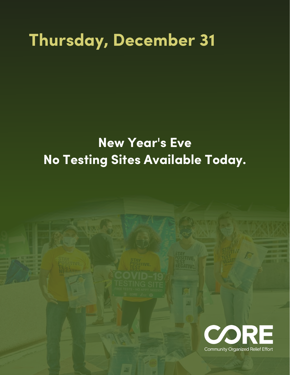#### **Thursday, December 31**

#### **New Year's Eve No Testing Sites Available Today.**

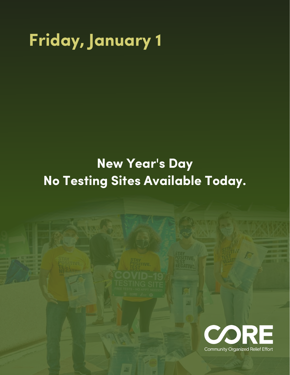# **Friday, January 1**

#### **New Year's Day No Testing Sites Available Today.**

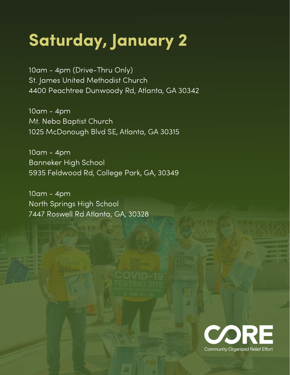# **Saturday, January 2**

10am - 4pm (Drive-Thru Only) St. James United Methodist Church 4400 Peachtree Dunwoody Rd, Atlanta, GA 30342

10am - 4pm Mt. Nebo Baptist Church 1025 McDonough Blvd SE, Atlanta, GA 30315

10am - 4pm Banneker High School 5935 Feldwood Rd, College Park, GA, 30349

10am - 4pm North Springs High School 7447 Roswell Rd Atlanta, GA, 30328